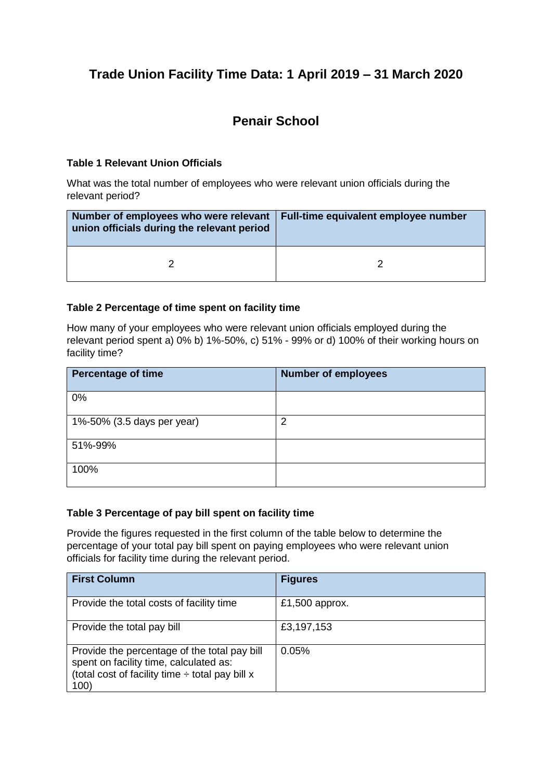# **Trade Union Facility Time Data: 1 April 2019 – 31 March 2020**

## **Penair School**

#### **Table 1 Relevant Union Officials**

What was the total number of employees who were relevant union officials during the relevant period?

| Number of employees who were relevant<br>union officials during the relevant period | Full-time equivalent employee number |
|-------------------------------------------------------------------------------------|--------------------------------------|
|                                                                                     |                                      |

#### **Table 2 Percentage of time spent on facility time**

How many of your employees who were relevant union officials employed during the relevant period spent a) 0% b) 1%-50%, c) 51% - 99% or d) 100% of their working hours on facility time?

| <b>Percentage of time</b>  | <b>Number of employees</b> |
|----------------------------|----------------------------|
| 0%                         |                            |
| 1%-50% (3.5 days per year) | 2                          |
| 51%-99%                    |                            |
| 100%                       |                            |

#### **Table 3 Percentage of pay bill spent on facility time**

Provide the figures requested in the first column of the table below to determine the percentage of your total pay bill spent on paying employees who were relevant union officials for facility time during the relevant period.

| <b>First Column</b>                                                                                                                                    | <b>Figures</b> |
|--------------------------------------------------------------------------------------------------------------------------------------------------------|----------------|
| Provide the total costs of facility time                                                                                                               | £1,500 approx. |
| Provide the total pay bill                                                                                                                             | £3,197,153     |
| Provide the percentage of the total pay bill<br>spent on facility time, calculated as:<br>(total cost of facility time $\div$ total pay bill x<br>100) | 0.05%          |